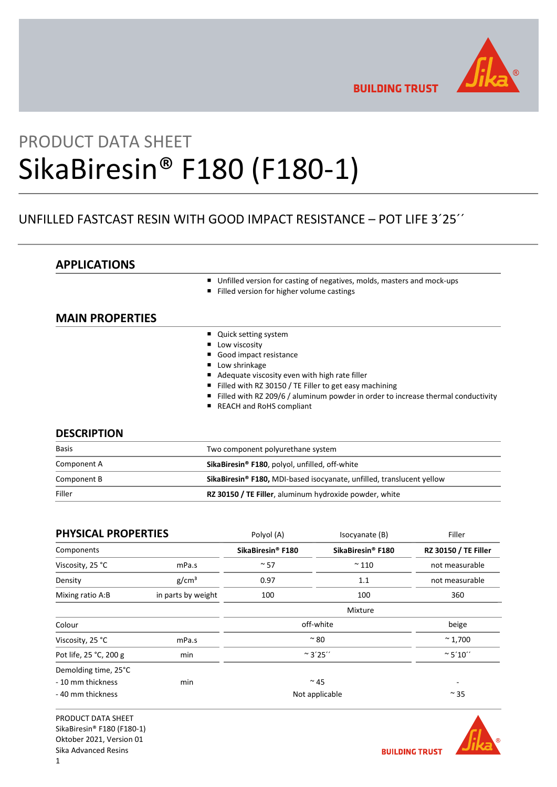

**BUILDING TRUST** 

# PRODUCT DATA SHEET SikaBiresin® F180 (F180-1)

# UNFILLED FASTCAST RESIN WITH GOOD IMPACT RESISTANCE – POT LIFE 3´25´´

# APPLICATIONS

- Unfilled version for casting of negatives, molds, masters and mock-ups
- Filled version for higher volume castings

# MAIN PROPERTIES

- Quick setting system
- **Low viscosity**
- Good impact resistance
- **Low shrinkage**
- Adequate viscosity even with high rate filler
- Filled with RZ 30150 / TE Filler to get easy machining
- Filled with RZ 209/6 / aluminum powder in order to increase thermal conductivity
- REACH and RoHS compliant

## **DESCRIPTION**

| <b>Basis</b> | Two component polyurethane system                                     |  |
|--------------|-----------------------------------------------------------------------|--|
| Component A  | SikaBiresin <sup>®</sup> F180, polyol, unfilled, off-white            |  |
| Component B  | SikaBiresin® F180, MDI-based isocyanate, unfilled, translucent yellow |  |
| Filler       | RZ 30150 / TE Filler, aluminum hydroxide powder, white                |  |

| <b>PHYSICAL PROPERTIES</b> |                    | Polyol (A)                    | Isocyanate (B)    | Filler                      |
|----------------------------|--------------------|-------------------------------|-------------------|-----------------------------|
| Components                 |                    | SikaBiresin <sup>®</sup> F180 | SikaBiresin® F180 | <b>RZ 30150 / TE Filler</b> |
| Viscosity, 25 °C           | mPa.s              | $~\sim$ 57                    | $~^{\sim}$ 110    | not measurable              |
| Density                    | g/cm <sup>3</sup>  | 0.97                          | 1.1               | not measurable              |
| Mixing ratio A:B           | in parts by weight | 100                           | 100               | 360                         |
|                            |                    |                               | Mixture           |                             |
| Colour                     |                    | off-white                     |                   | beige                       |
| Viscosity, 25 °C           | mPa.s              | $~^{\sim}80$                  |                   | $~^{\sim}$ 1,700            |
| Pot life, 25 °C, 200 g     | min                | $~^{\sim}$ 3'25''             |                   | $~^{\circ}$ 5'10"           |
| Demolding time, 25°C       |                    |                               |                   |                             |
| - 10 mm thickness          | min                |                               | $~^{\sim}$ 45     |                             |
| - 40 mm thickness          |                    |                               | Not applicable    | $\sim$ 35                   |

PRODUCT DATA SHEET SikaBiresin® F180 (F180-1) Oktober 2021, Version 01 Sika Advanced Resins

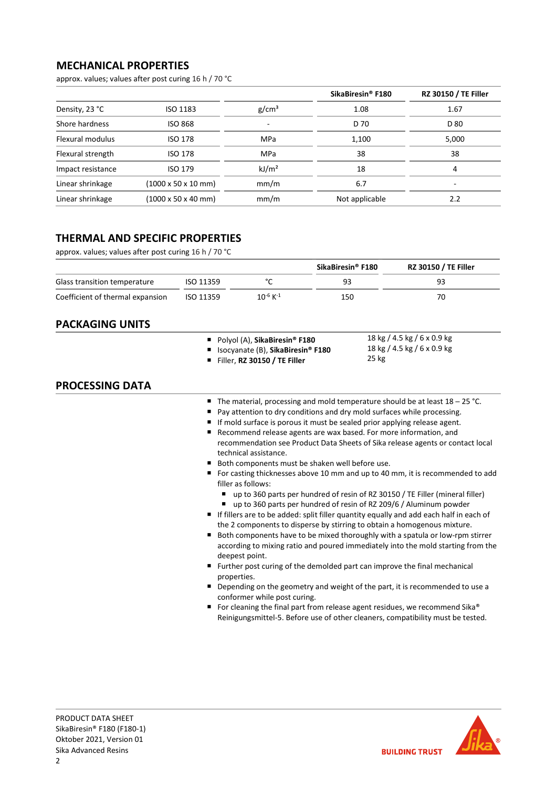# MECHANICAL PROPERTIES

approx. values; values after post curing 16 h / 70 °C

|                   |                                         |                   | SikaBiresin <sup>®</sup> F180 | <b>RZ 30150 / TE Filler</b> |
|-------------------|-----------------------------------------|-------------------|-------------------------------|-----------------------------|
| Density, 23 °C    | ISO 1183                                | g/cm <sup>3</sup> | 1.08                          | 1.67                        |
| Shore hardness    | <b>ISO 868</b>                          | ٠                 | D 70                          | D 80                        |
| Flexural modulus  | <b>ISO 178</b>                          | <b>MPa</b>        | 1,100                         | 5,000                       |
| Flexural strength | <b>ISO 178</b>                          | <b>MPa</b>        | 38                            | 38                          |
| Impact resistance | ISO 179                                 | kJ/m <sup>2</sup> | 18                            | 4                           |
| Linear shrinkage  | $(1000 \times 50 \times 10 \text{ mm})$ | mm/m              | 6.7                           | -                           |
| Linear shrinkage  | $(1000 \times 50 \times 40 \text{ mm})$ | mm/m              | Not applicable                | 2.2                         |

# THERMAL AND SPECIFIC PROPERTIES

approx. values; values after post curing 16 h / 70 °C

|                                  |                  |                  | SikaBiresin® F180 | <b>RZ 30150 / TE Filler</b> |
|----------------------------------|------------------|------------------|-------------------|-----------------------------|
| Glass transition temperature     | <b>ISO 11359</b> |                  |                   | 93                          |
| Coefficient of thermal expansion | ISO 11359        | $10^{-6}$ K $-1$ | 150               |                             |

## PACKAGING UNITS

| Polyol (A), SikaBiresin® F180       | 18 kg / 4.5 kg / 6 x 0.9 kg |
|-------------------------------------|-----------------------------|
| ■ Isocyanate (B), SikaBiresin® F180 | 18 kg / 4.5 kg / 6 x 0.9 kg |
| Filler, RZ 30150 / TE Filler        | 25 kg                       |

## PROCESSING DATA

- The material, processing and mold temperature should be at least  $18 25$  °C.
- Pay attention to dry conditions and dry mold surfaces while processing.
- If mold surface is porous it must be sealed prior applying release agent.
- Recommend release agents are wax based. For more information, and recommendation see Product Data Sheets of Sika release agents or contact local technical assistance.
- Both components must be shaken well before use.
- For casting thicknesses above 10 mm and up to 40 mm, it is recommended to add filler as follows:
	- up to 360 parts per hundred of resin of RZ 30150 / TE Filler (mineral filler)
	- up to 360 parts per hundred of resin of RZ 209/6 / Aluminum powder
- If fillers are to be added: split filler quantity equally and add each half in each of the 2 components to disperse by stirring to obtain a homogenous mixture.
- Both components have to be mixed thoroughly with a spatula or low-rpm stirrer according to mixing ratio and poured immediately into the mold starting from the deepest point.
- Further post curing of the demolded part can improve the final mechanical properties.
- Depending on the geometry and weight of the part, it is recommended to use a conformer while post curing.
- For cleaning the final part from release agent residues, we recommend Sika® Reinigungsmittel-5. Before use of other cleaners, compatibility must be tested.

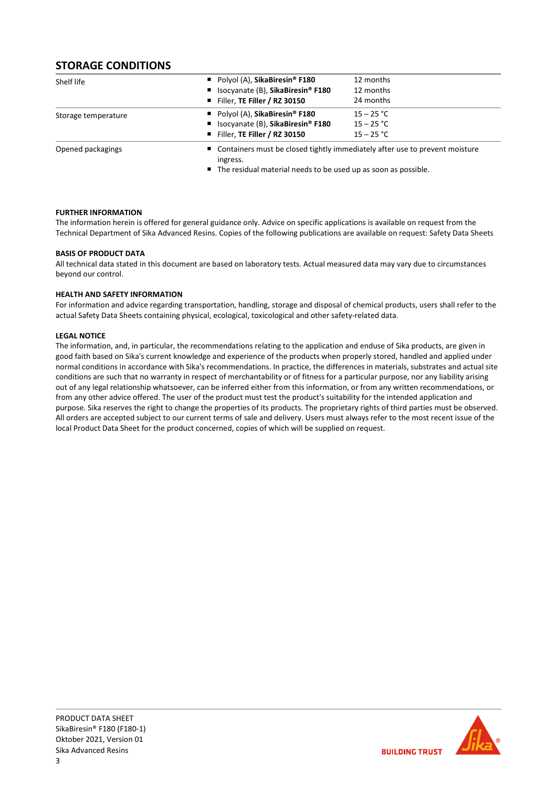# STORAGE CONDITIONS

| Shelf life          | Polyol (A), SikaBiresin <sup>®</sup> F180                                                 | 12 months    |
|---------------------|-------------------------------------------------------------------------------------------|--------------|
|                     | ■ Isocyanate (B), SikaBiresin® F180                                                       | 12 months    |
|                     | Filler, TE Filler / RZ 30150                                                              | 24 months    |
| Storage temperature | Polyol (A), SikaBiresin <sup>®</sup> F180                                                 | $15 - 25 °C$ |
|                     | ■ Isocyanate (B), SikaBiresin® F180                                                       | $15 - 25 °C$ |
|                     | Filler, TE Filler / RZ 30150                                                              | $15 - 25 °C$ |
| Opened packagings   | ■ Containers must be closed tightly immediately after use to prevent moisture<br>ingress. |              |

■ The residual material needs to be used up as soon as possible.

## FURTHER INFORMATION

The information herein is offered for general guidance only. Advice on specific applications is available on request from the Technical Department of Sika Advanced Resins. Copies of the following publications are available on request: Safety Data Sheets

## BASIS OF PRODUCT DATA

All technical data stated in this document are based on laboratory tests. Actual measured data may vary due to circumstances beyond our control.

## HEALTH AND SAFETY INFORMATION

For information and advice regarding transportation, handling, storage and disposal of chemical products, users shall refer to the actual Safety Data Sheets containing physical, ecological, toxicological and other safety-related data.

## LEGAL NOTICE

The information, and, in particular, the recommendations relating to the application and enduse of Sika products, are given in good faith based on Sika's current knowledge and experience of the products when properly stored, handled and applied under normal conditions in accordance with Sika's recommendations. In practice, the differences in materials, substrates and actual site conditions are such that no warranty in respect of merchantability or of fitness for a particular purpose, nor any liability arising out of any legal relationship whatsoever, can be inferred either from this information, or from any written recommendations, or from any other advice offered. The user of the product must test the product's suitability for the intended application and purpose. Sika reserves the right to change the properties of its products. The proprietary rights of third parties must be observed. All orders are accepted subject to our current terms of sale and delivery. Users must always refer to the most recent issue of the local Product Data Sheet for the product concerned, copies of which will be supplied on request.